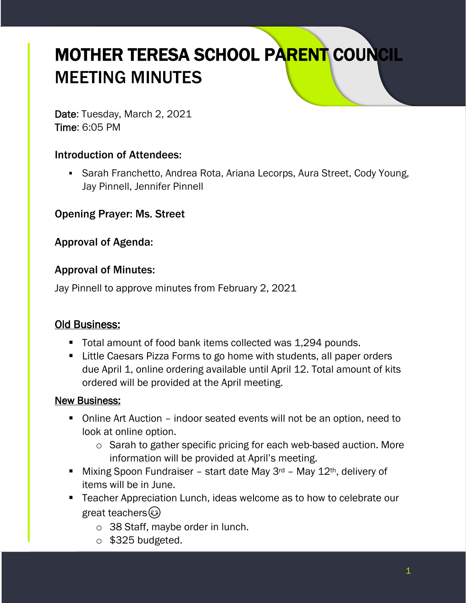# MOTHER TERESA SCHOOL PARENT COUNCIL MEETING MINUTES

Date: Tuesday, March 2, 2021 Time: 6:05 PM

#### Introduction of Attendees:

■ Sarah Franchetto, Andrea Rota, Ariana Lecorps, Aura Street, Cody Young, Jay Pinnell, Jennifer Pinnell

Opening Prayer: Ms. Street

Approval of Agenda:

#### Approval of Minutes:

Jay Pinnell to approve minutes from February 2, 2021

#### Old Business:

- Total amount of food bank items collected was 1,294 pounds.
- Little Caesars Pizza Forms to go home with students, all paper orders due April 1, online ordering available until April 12. Total amount of kits ordered will be provided at the April meeting.

#### New Business:

- Online Art Auction indoor seated events will not be an option, need to look at online option.
	- o Sarah to gather specific pricing for each web-based auction. More information will be provided at April's meeting.
- **■** Mixing Spoon Fundraiser start date May  $3^{rd}$  May  $12^{th}$ , delivery of items will be in June.
- Teacher Appreciation Lunch, ideas welcome as to how to celebrate our great teachers( $\odot$ )
	- o 38 Staff, maybe order in lunch.
	- o \$325 budgeted.